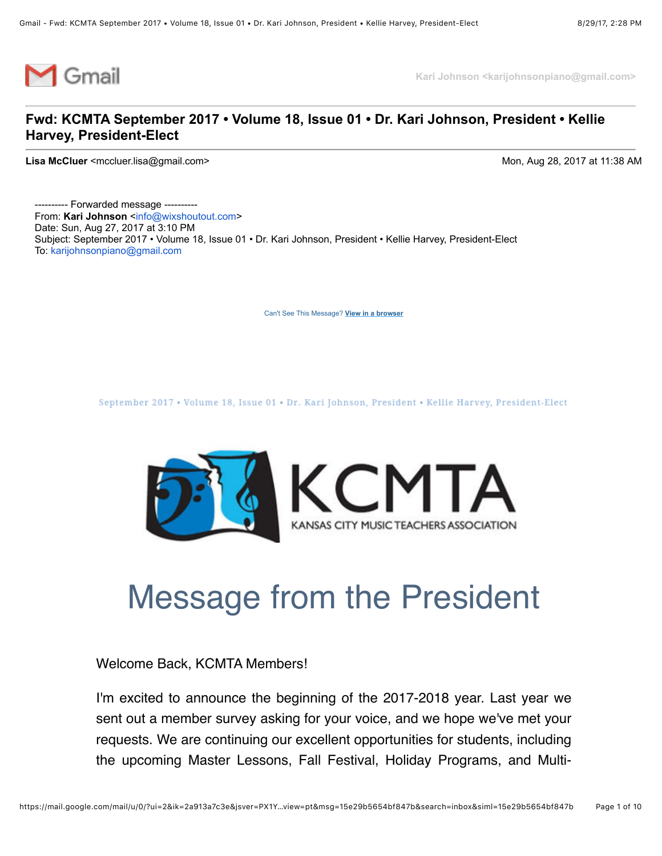

**Kari Johnson <karijohnsonpiano@gmail.com>**

#### **Fwd: KCMTA September 2017 • Volume 18, Issue 01 • Dr. Kari Johnson, President • Kellie Harvey, President-Elect**

**Lisa McCluer** <mccluer.lisa@gmail.com> Mon, Aug 28, 2017 at 11:38 AM

---------- Forwarded message --------- From: Kari Johnson <[info@wixshoutout.com>](mailto:info@wixshoutout.com) Date: Sun, Aug 27, 2017 at 3:10 PM Subject: September 2017 • Volume 18, Issue 01 • Dr. Kari Johnson, President • Kellie Harvey, President-Elect To: [karijohnsonpiano@gmail.com](mailto:karijohnsonpiano@gmail.com)

[Can't See This Message?](https://shoutout.wix.com/so/eLngPRQQ?cid=0) **View in a browser**

September 2017 • Volume 18, Issue 01 • Dr. Kari Johnson, President • Kellie Harvey, President-Elect



## Message from the President

Welcome Back, KCMTA Members!

I'm excited to announce the beginning of the 2017-2018 year. Last year we sent out a member survey asking for your voice, and we hope we've met your requests. We are continuing our excellent opportunities for students, including the upcoming Master Lessons, Fall Festival, Holiday Programs, and Multi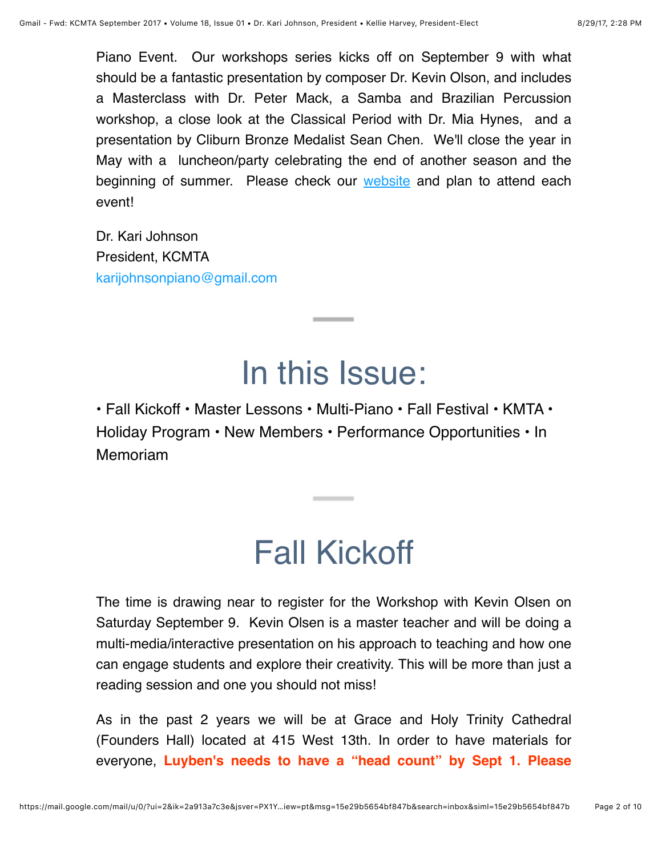Piano Event. Our workshops series kicks off on September 9 with what should be a fantastic presentation by composer Dr. Kevin Olson, and includes a Masterclass with Dr. Peter Mack, a Samba and Brazilian Percussion workshop, a close look at the Classical Period with Dr. Mia Hynes, and a presentation by Cliburn Bronze Medalist Sean Chen. We'll close the year in May with a luncheon/party celebrating the end of another season and the beginning of summer. Please check our [website](http://www.kansascitymusicteachers.org/) and plan to attend each event!

Dr. Kari Johnson President, KCMTA [karijohnsonpiano@gmail.com](mailto:karijohnsonpiano@gmail.com)

## In this Issue:

• Fall Kickoff • Master Lessons • Multi-Piano • Fall Festival • KMTA • Holiday Program • New Members • Performance Opportunities • In Memoriam

## Fall Kickoff

The time is drawing near to register for the Workshop with Kevin Olsen on Saturday September 9. Kevin Olsen is a master teacher and will be doing a multi-media/interactive presentation on his approach to teaching and how one can engage students and explore their creativity. This will be more than just a reading session and one you should not miss!

As in the past 2 years we will be at Grace and Holy Trinity Cathedral (Founders Hall) located at 415 West 13th. In order to have materials for everyone, **Luyben's needs to have a "head count" by Sept 1. Please**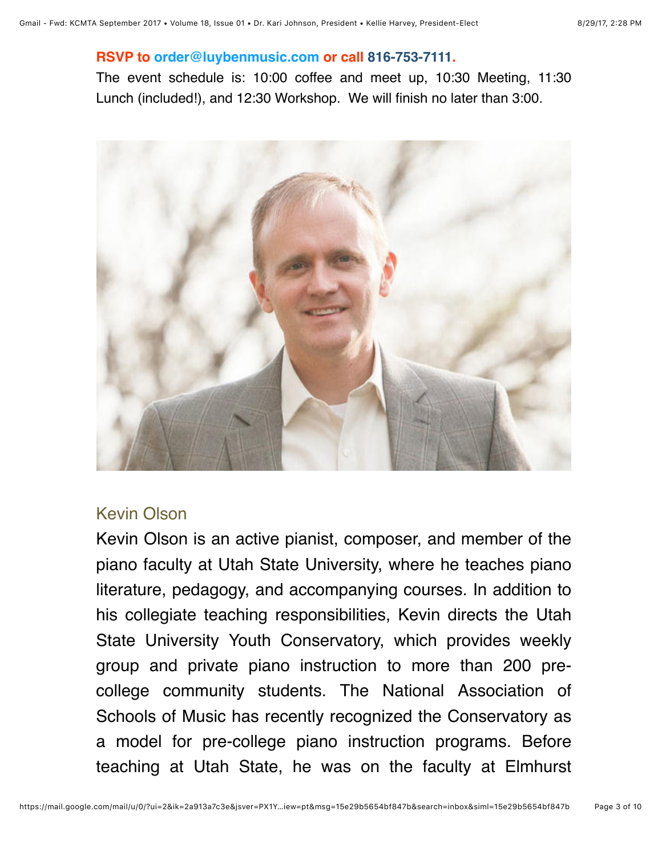#### **RSVP to [order@luybenmusic.com](mailto:order@luybenmusic.com) or call 816-753-7111.**

The event schedule is: 10:00 coffee and meet up, 10:30 Meeting, 11:30 Lunch (included!), and 12:30 Workshop. We will finish no later than 3:00.



### Kevin Olson

Kevin Olson is an active pianist, composer, and member of the piano faculty at Utah State University, where he teaches piano literature, pedagogy, and accompanying courses. In addition to his collegiate teaching responsibilities, Kevin directs the Utah State University Youth Conservatory, which provides weekly group and private piano instruction to more than 200 precollege community students. The National Association of Schools of Music has recently recognized the Conservatory as a model for pre-college piano instruction programs. Before teaching at Utah State, he was on the faculty at Elmhurst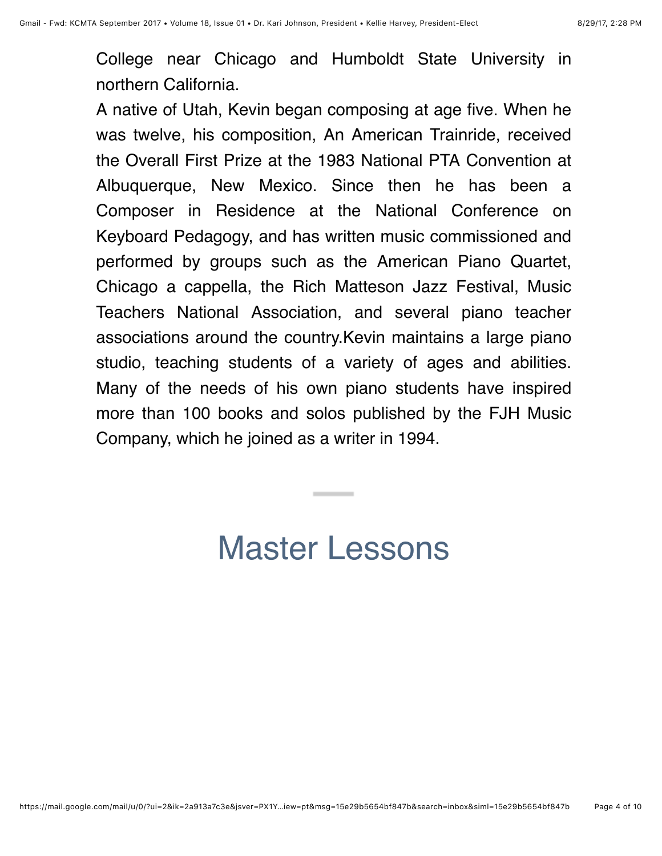College near Chicago and Humboldt State University in northern California.

A native of Utah, Kevin began composing at age five. When he was twelve, his composition, An American Trainride, received the Overall First Prize at the 1983 National PTA Convention at Albuquerque, New Mexico. Since then he has been a Composer in Residence at the National Conference on Keyboard Pedagogy, and has written music commissioned and performed by groups such as the American Piano Quartet, Chicago a cappella, the Rich Matteson Jazz Festival, Music Teachers National Association, and several piano teacher associations around the country.Kevin maintains a large piano studio, teaching students of a variety of ages and abilities. Many of the needs of his own piano students have inspired more than 100 books and solos published by the FJH Music Company, which he joined as a writer in 1994.

### Master Lessons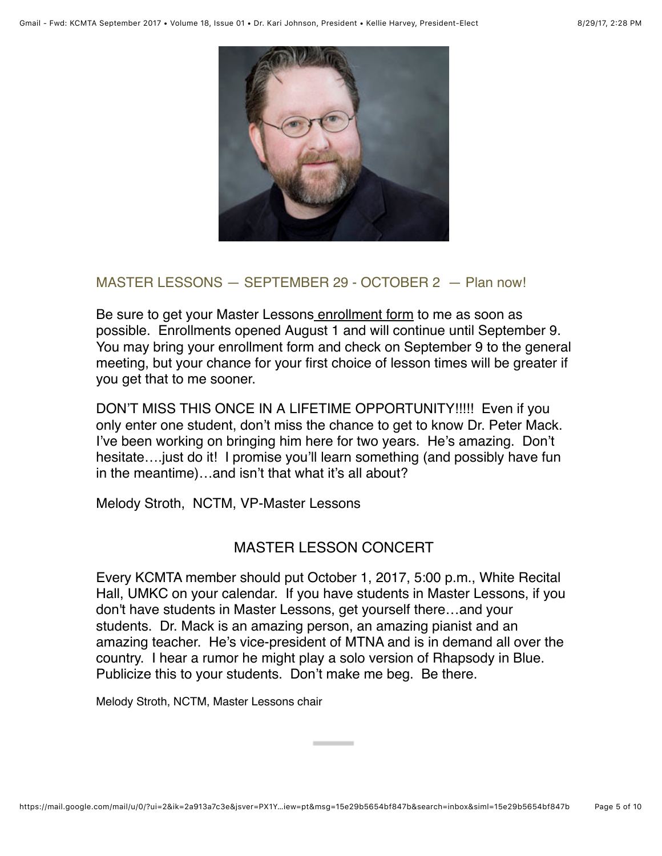

#### MASTER LESSONS — SEPTEMBER 29 - OCTOBER 2 — Plan now!

Be sure to get your Master Lesson[s enrollment form](http://kansascitymusicteachers.org/student-programs/master-lessons/) to me as soon as possible. Enrollments opened August 1 and will continue until September 9. You may bring your enrollment form and check on September 9 to the general meeting, but your chance for your first choice of lesson times will be greater if you get that to me sooner.

DON'T MISS THIS ONCE IN A LIFETIME OPPORTUNITY!!!!! Even if you only enter one student, don't miss the chance to get to know Dr. Peter Mack. I've been working on bringing him here for two years. He's amazing. Don't hesitate….just do it! I promise you'll learn something (and possibly have fun in the meantime)…and isn't that what it's all about?

Melody Stroth, NCTM, VP-Master Lessons

### MASTER LESSON CONCERT

Every KCMTA member should put October 1, 2017, 5:00 p.m., White Recital Hall, UMKC on your calendar. If you have students in Master Lessons, if you don't have students in Master Lessons, get yourself there…and your students. Dr. Mack is an amazing person, an amazing pianist and an amazing teacher. He's vice-president of MTNA and is in demand all over the country. I hear a rumor he might play a solo version of Rhapsody in Blue. Publicize this to your students. Don't make me beg. Be there.

Melody Stroth, NCTM, Master Lessons chair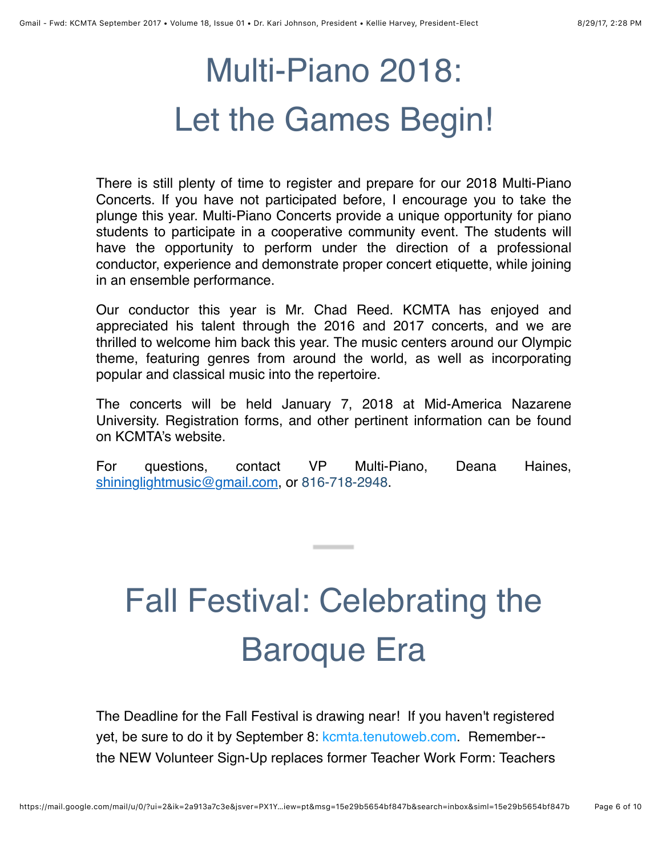# Multi-Piano 2018: Let the Games Begin!

There is still plenty of time to register and prepare for our 2018 Multi-Piano Concerts. If you have not participated before, I encourage you to take the plunge this year. Multi-Piano Concerts provide a unique opportunity for piano students to participate in a cooperative community event. The students will have the opportunity to perform under the direction of a professional conductor, experience and demonstrate proper concert etiquette, while joining in an ensemble performance.

Our conductor this year is Mr. Chad Reed. KCMTA has enjoyed and appreciated his talent through the 2016 and 2017 concerts, and we are thrilled to welcome him back this year. The music centers around our Olympic theme, featuring genres from around the world, as well as incorporating popular and classical music into the repertoire.

The concerts will be held January 7, 2018 at Mid-America Nazarene University. Registration forms, and other pertinent information can be found on KCMTA's website.

For questions, contact VP Multi-Piano, Deana Haines, [shininglightmusic@gmail.com](mailto:shininglightmusic@gmail.com), or 816-718-2948.

# Fall Festival: Celebrating the Baroque Era

The Deadline for the Fall Festival is drawing near! If you haven't registered yet, be sure to do it by September 8: [kcmta.tenutoweb.com.](http://kcmta.tenutoweb.com/) Remember- the NEW Volunteer Sign-Up replaces former Teacher Work Form: Teachers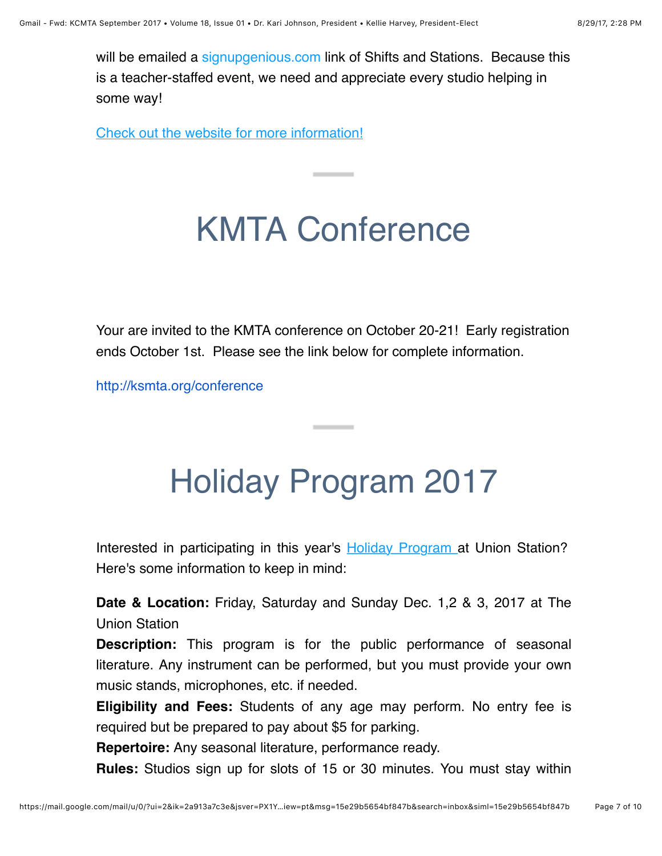will be emailed a [signupgenious.com](http://signupgenious.com/) link of Shifts and Stations. Because this is a teacher-staffed event, we need and appreciate every studio helping in some way!

[Check out the website for more information!](http://kansascitymusicteachers.org/student-programs/fall-festival/)

## KMTA Conference

Your are invited to the KMTA conference on October 20-21! Early registration ends October 1st. Please see the link below for complete information.

[http://ksmta.org/conference](http://www.ksmta.org/conference)

## Holiday Program 2017

Interested in participating in this year's **[Holiday Program](http://kansascitymusicteachers.org/student-programs/holiday-program/) at Union Station?** Here's some information to keep in mind:

**Date & Location:** Friday, Saturday and Sunday Dec. 1,2 & 3, 2017 at The Union Station

**Description:** This program is for the public performance of seasonal literature. Any instrument can be performed, but you must provide your own music stands, microphones, etc. if needed.

**Eligibility and Fees:** Students of any age may perform. No entry fee is required but be prepared to pay about \$5 for parking.

**Repertoire:** Any seasonal literature, performance ready.

**Rules:** Studios sign up for slots of 15 or 30 minutes. You must stay within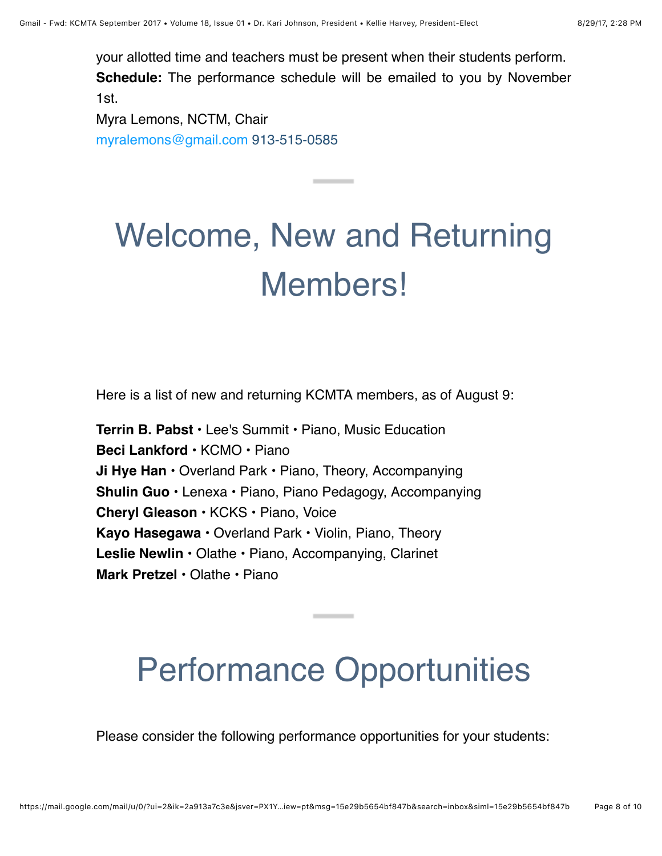your allotted time and teachers must be present when their students perform. **Schedule:** The performance schedule will be emailed to you by November 1st.

Myra Lemons, NCTM, Chair [myralemons@gmail.com](mailto:myralemons@gmail.com) 913-515-0585

# Welcome, New and Returning Members!

Here is a list of new and returning KCMTA members, as of August 9:

**Terrin B. Pabst** • Lee's Summit • Piano, Music Education **Beci Lankford** • KCMO • Piano **Ji Hye Han** • Overland Park • Piano, Theory, Accompanying **Shulin Guo** • Lenexa • Piano, Piano Pedagogy, Accompanying **Cheryl Gleason** • KCKS • Piano, Voice **Kayo Hasegawa** • Overland Park • Violin, Piano, Theory **Leslie Newlin** • Olathe • Piano, Accompanying, Clarinet **Mark Pretzel** • Olathe • Piano

## Performance Opportunities

Please consider the following performance opportunities for your students: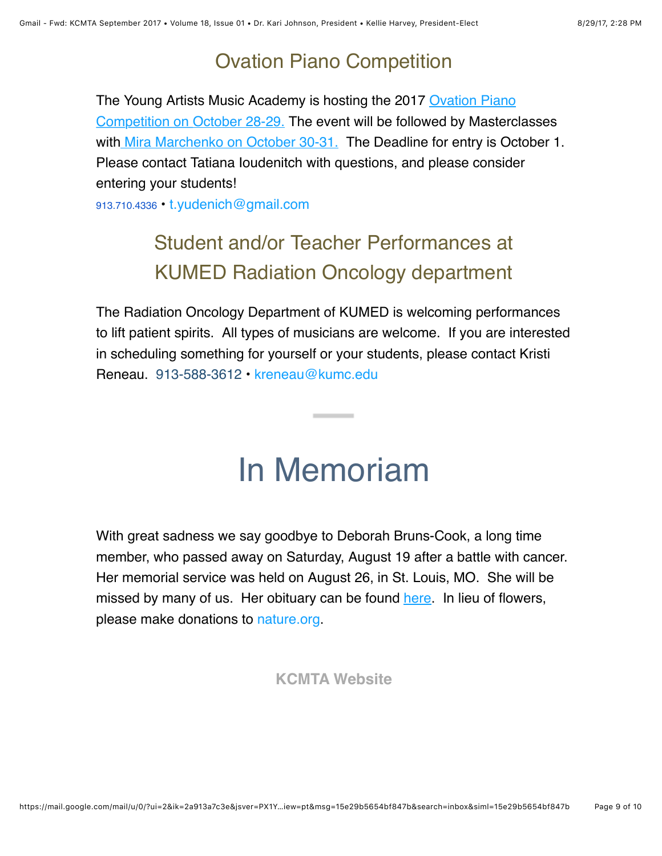### Ovation Piano Competition

[The Young Artists Music Academy is hosting the 2017 Ovation Piano](http://www.ovationpianocompetition.org/) Competition on [October 28-29.](http://www.ovationpianocompetition.org/) The event will be followed by Masterclasses with [Mira Marchenko on October 30-31.](http://www.ovationpianocompetition.org/2017-judges/) The Deadline for entry is October 1. Please contact Tatiana Ioudenitch with questions, and please consider entering your students!

913.710.4336 • [t.yudenich@gmail.com](mailto:t.yudenich@gmail.com)

### Student and/or Teacher Performances at KUMED Radiation Oncology department

The Radiation Oncology Department of KUMED is welcoming performances to lift patient spirits. All types of musicians are welcome. If you are interested in scheduling something for yourself or your students, please contact Kristi Reneau. 913-588-3612 • [kreneau@kumc.edu](mailto:kreneau@kumc.edu)

## In Memoriam

With great sadness we say goodbye to Deborah Bruns-Cook, a long time member, who passed away on Saturday, August 19 after a battle with cancer. Her memorial service was held on August 26, in St. Louis, MO. She will be missed by many of us. Her obituary can be found [here](http://www.legacy.com/obituaries/stltoday/obituary.aspx?n=deborah-sue-bruns-cook&pid=186468223&). In lieu of flowers, please make donations to [nature.org](http://www.nature.org/).

**[KCMTA Website](http://www.kansascitymusicteachers.org/)**